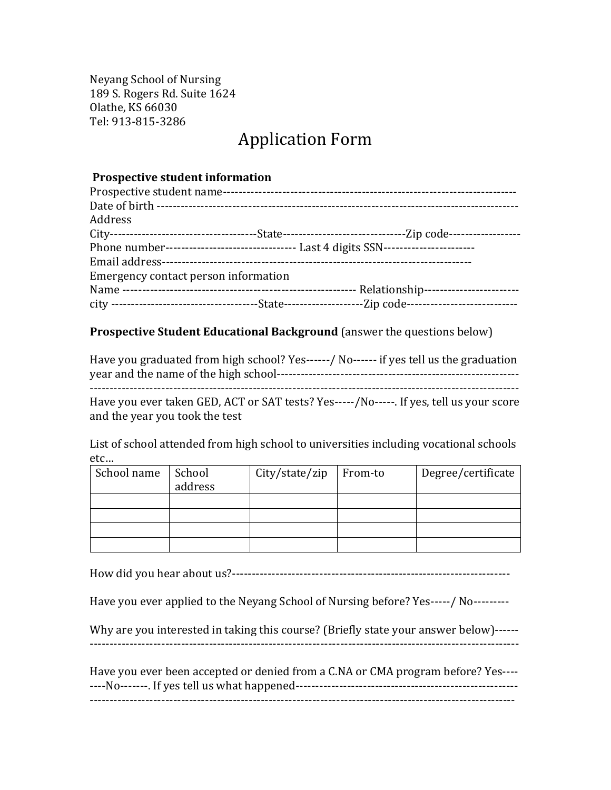Neyang School of Nursing 189 S. Rogers Rd. Suite 1624 Olathe, KS 66030 Tel: 913-815-3286

# **Application Form**

#### **Prospective student information**

| Prospective student name-            |                                                                                          |
|--------------------------------------|------------------------------------------------------------------------------------------|
|                                      |                                                                                          |
| Address                              |                                                                                          |
|                                      |                                                                                          |
|                                      | Phone number----------------------------------- Last 4 digits SSN----------------------- |
|                                      |                                                                                          |
| Emergency contact person information |                                                                                          |
|                                      |                                                                                          |
|                                      |                                                                                          |

## **Prospective Student Educational Background** (answer the questions below)

| Have you graduated from high school? Yes------/ No------ if yes tell us the graduation  |
|-----------------------------------------------------------------------------------------|
| Have you ever taken GED, ACT or SAT tests? Yes-----/No-----. If yes, tell us your score |

and the year you took the test

List of school attended from high school to universities including vocational schools etc…

| School name | School  | City/state/zip   From-to | Degree/certificate |
|-------------|---------|--------------------------|--------------------|
|             | address |                          |                    |
|             |         |                          |                    |
|             |         |                          |                    |
|             |         |                          |                    |
|             |         |                          |                    |

How did you hear about us?----------------------------------------------------------------------

Have you ever applied to the Neyang School of Nursing before? Yes-----/ No---------

Why are you interested in taking this course? (Briefly state your answer below)------------------------------------------------------------------------------------------------------------------

Have you ever been accepted or denied from a C.NA or CMA program before? Yes--------No-------. If yes tell us what happened-------------------------------------------------------- -----------------------------------------------------------------------------------------------------------